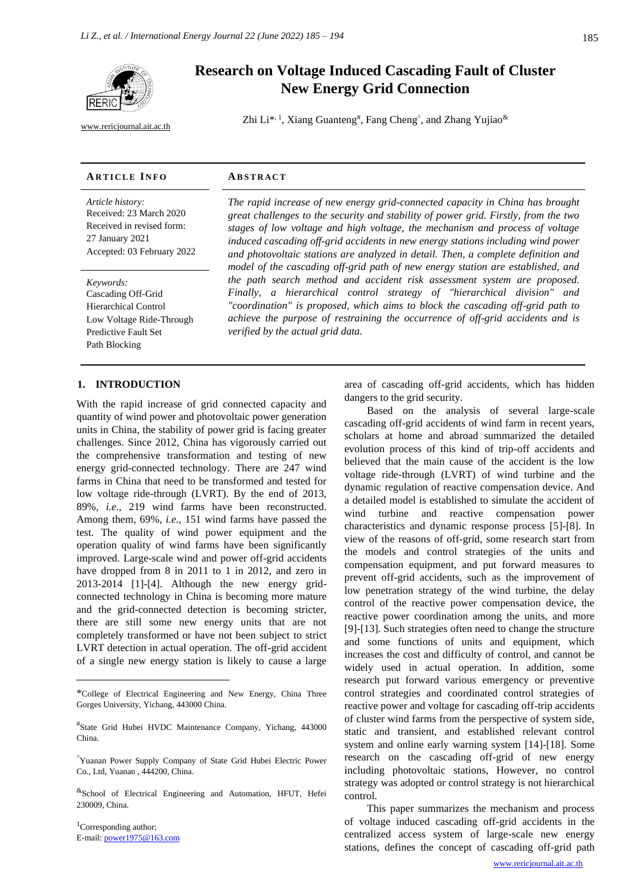

[www.rericjournal.ait.ac.th](file:///C:/Reric-Data/JOURNAL/Accepted%20Paper/Users/RERIC/Vol.11%20No.2/Formatted/For%20Print/www.rericjournal.ait.ac.th)

# **Research on Voltage Induced Cascading Fault of Cluster New Energy Grid Connection**

Zhi Li\*<sup>, 1</sup>, Xiang Guanteng<sup>#</sup>, Fang Cheng<sup>^</sup>, and Zhang Yujiao<sup>&</sup>

## **AR T I C L E I N F O AB S T R A C T**

*Article history:* Received: 23 March 2020 Received in revised form: 27 January 2021 Accepted: 03 February 2022

*Keywords:* Cascading Off-Grid Hierarchical Control Low Voltage Ride-Through Predictive Fault Set Path Blocking

*The rapid increase of new energy grid-connected capacity in China has brought great challenges to the security and stability of power grid. Firstly, from the two stages of low voltage and high voltage, the mechanism and process of voltage induced cascading off-grid accidents in new energy stations including wind power and photovoltaic stations are analyzed in detail. Then, a complete definition and model of the cascading off-grid path of new energy station are established, and the path search method and accident risk assessment system are proposed. Finally, a hierarchical control strategy of "hierarchical division" and "coordination" is proposed, which aims to block the cascading off-grid path to achieve the purpose of restraining the occurrence of off-grid accidents and is verified by the actual grid data.*

## 1. **INTRODUCTION**

With the rapid increase of grid connected capacity and quantity of wind power and photovoltaic power generation units in China, the stability of power grid is facing greater challenges. Since 2012, China has vigorously carried out the comprehensive transformation and testing of new energy grid-connected technology. There are 247 wind farms in China that need to be transformed and tested for low voltage ride-through (LVRT). By the end of 2013, 89%, *i.e.,* 219 wind farms have been reconstructed. Among them, 69%, *i.e.,* 151 wind farms have passed the test. The quality of wind power equipment and the operation quality of wind farms have been significantly improved. Large-scale wind and power off-grid accidents have dropped from 8 in 2011 to 1 in 2012, and zero in 2013-2014 [1]-[4]. Although the new energy gridconnected technology in China is becoming more mature and the grid-connected detection is becoming stricter, there are still some new energy units that are not completely transformed or have not been subject to strict LVRT detection in actual operation. The off-grid accident of a single new energy station is likely to cause a large

<sup>1</sup>Corresponding author; E-mail: [power1975@163.com](mailto:power1975@163.com) area of cascading off-grid accidents, which has hidden dangers to the grid security.

Based on the analysis of several large-scale cascading off-grid accidents of wind farm in recent years, scholars at home and abroad summarized the detailed evolution process of this kind of trip-off accidents and believed that the main cause of the accident is the low voltage ride-through (LVRT) of wind turbine and the dynamic regulation of reactive compensation device. And a detailed model is established to simulate the accident of wind turbine and reactive compensation power characteristics and dynamic response process [5]-[8]. In view of the reasons of off-grid, some research start from the models and control strategies of the units and compensation equipment, and put forward measures to prevent off-grid accidents, such as the improvement of low penetration strategy of the wind turbine, the delay control of the reactive power compensation device, the reactive power coordination among the units, and more [9]-[13]. Such strategies often need to change the structure and some functions of units and equipment, which increases the cost and difficulty of control, and cannot be widely used in actual operation. In addition, some research put forward various emergency or preventive control strategies and coordinated control strategies of reactive power and voltage for cascading off-trip accidents of cluster wind farms from the perspective of system side, static and transient, and established relevant control system and online early warning system [14]-[18]. Some research on the cascading off-grid of new energy including photovoltaic stations, However, no control strategy was adopted or control strategy is not hierarchical control.

This paper summarizes the mechanism and process of voltage induced cascading off-grid accidents in the centralized access system of large-scale new energy stations, defines the concept of cascading off-grid path

<sup>\*</sup>College of Electrical Engineering and New Energy, China Three Gorges University, Yichang, 443000 China.

<sup>#</sup> State Grid Hubei HVDC Maintenance Company, Yichang, 443000 China.

<sup>^</sup>Yuanan Power Supply Company of State Grid Hubei Electric Power Co., Ltd, Yuanan , 444200, China.

<sup>&</sup>amp;School of Electrical Engineering and Automation, HFUT, Hefei 230009, China.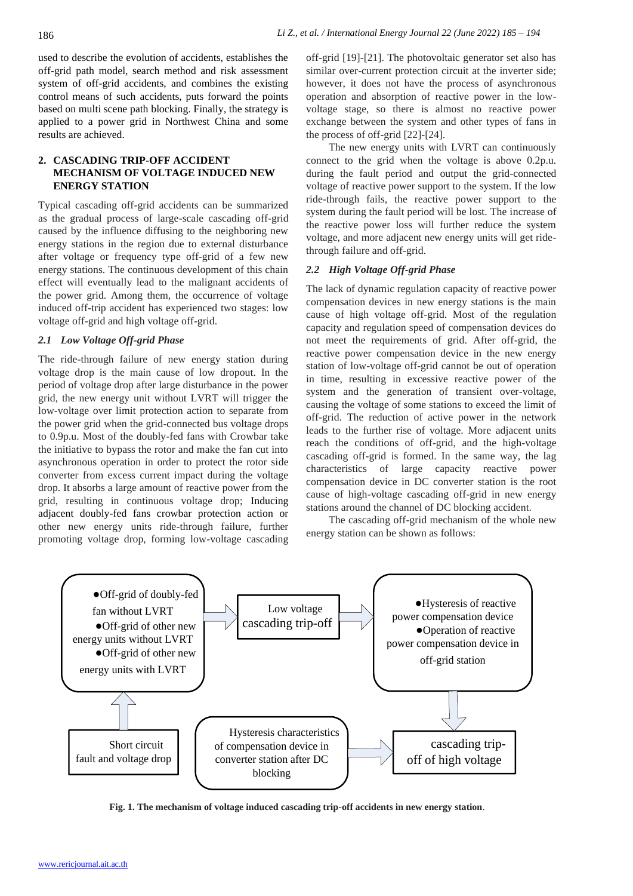used to describe the evolution of accidents, establishes the off-grid path model, search method and risk assessment system of off-grid accidents, and combines the existing control means of such accidents, puts forward the points based on multi scene path blocking. Finally, the strategy is applied to a power grid in Northwest China and some results are achieved.

# **2. CASCADING TRIP-OFF ACCIDENT MECHANISM OF VOLTAGE INDUCED NEW ENERGY STATION**

Typical cascading off-grid accidents can be summarized as the gradual process of large-scale cascading off-grid caused by the influence diffusing to the neighboring new energy stations in the region due to external disturbance after voltage or frequency type off-grid of a few new energy stations. The continuous development of this chain effect will eventually lead to the malignant accidents of the power grid. Among them, the occurrence of voltage induced off-trip accident has experienced two stages: low voltage off-grid and high voltage off-grid.

## *2.1 Low Voltage Off-grid Phase*

The ride-through failure of new energy station during voltage drop is the main cause of low dropout. In the period of voltage drop after large disturbance in the power grid, the new energy unit without LVRT will trigger the low-voltage over limit protection action to separate from the power grid when the grid-connected bus voltage drops to 0.9p.u. Most of the doubly-fed fans with Crowbar take the initiative to bypass the rotor and make the fan cut into asynchronous operation in order to protect the rotor side converter from excess current impact during the voltage drop. It absorbs a large amount of reactive power from the grid, resulting in continuous voltage drop; Inducing adjacent doubly-fed fans crowbar protection action or other new energy units ride-through failure, further promoting voltage drop, forming low-voltage cascading

off-grid [19]-[21]. The photovoltaic generator set also has similar over-current protection circuit at the inverter side; however, it does not have the process of asynchronous operation and absorption of reactive power in the lowvoltage stage, so there is almost no reactive power exchange between the system and other types of fans in the process of off-grid [22]-[24].

The new energy units with LVRT can continuously connect to the grid when the voltage is above 0.2p.u. during the fault period and output the grid-connected voltage of reactive power support to the system. If the low ride-through fails, the reactive power support to the system during the fault period will be lost. The increase of the reactive power loss will further reduce the system voltage, and more adjacent new energy units will get ridethrough failure and off-grid.

# *2.2 High Voltage Off-grid Phase*

The lack of dynamic regulation capacity of reactive power compensation devices in new energy stations is the main cause of high voltage off-grid. Most of the regulation capacity and regulation speed of compensation devices do not meet the requirements of grid. After off-grid, the reactive power compensation device in the new energy station of low-voltage off-grid cannot be out of operation in time, resulting in excessive reactive power of the system and the generation of transient over-voltage, causing the voltage of some stations to exceed the limit of off-grid. The reduction of active power in the network leads to the further rise of voltage. More adjacent units reach the conditions of off-grid, and the high-voltage cascading off-grid is formed. In the same way, the lag characteristics of large capacity reactive power compensation device in DC converter station is the root cause of high-voltage cascading off-grid in new energy stations around the channel of DC blocking accident.

The cascading off-grid mechanism of the whole new energy station can be shown as follows:



**Fig. 1. The mechanism of voltage induced cascading trip-off accidents in new energy station**.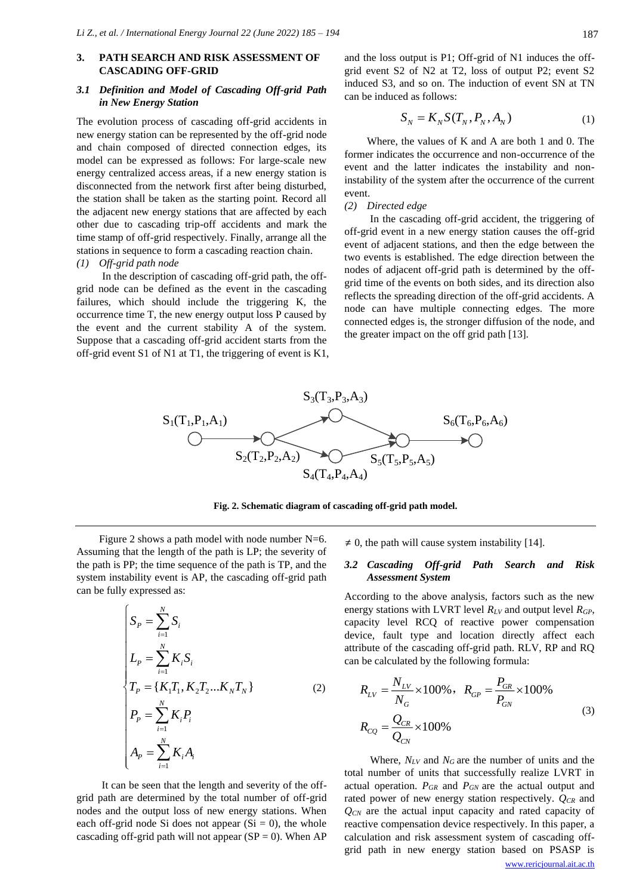# **3. PATH SEARCH AND RISK ASSESSMENT OF CASCADING OFF-GRID**

# *3.1 Definition and Model of Cascading Off-grid Path in New Energy Station*

The evolution process of cascading off-grid accidents in new energy station can be represented by the off-grid node and chain composed of directed connection edges, its model can be expressed as follows: For large-scale new energy centralized access areas, if a new energy station is disconnected from the network first after being disturbed, the station shall be taken as the starting point. Record all the adjacent new energy stations that are affected by each other due to cascading trip-off accidents and mark the time stamp of off-grid respectively. Finally, arrange all the stations in sequence to form a cascading reaction chain.

# *(1) Off-grid path node*

In the description of cascading off-grid path, the offgrid node can be defined as the event in the cascading failures, which should include the triggering K, the occurrence time T, the new energy output loss P caused by the event and the current stability A of the system. Suppose that a cascading off-grid accident starts from the off-grid event S1 of N1 at T1, the triggering of event is K1, and the loss output is P1; Off-grid of N1 induces the offgrid event S2 of N2 at T2, loss of output P2; event S2 induced S3, and so on. The induction of event SN at TN can be induced as follows:

$$
S_N = K_N S(T_N, P_N, A_N)
$$
 (1)

Where, the values of K and A are both 1 and 0. The former indicates the occurrence and non-occurrence of the event and the latter indicates the instability and noninstability of the system after the occurrence of the current event.

#### *(2) Directed edge*

In the cascading off-grid accident, the triggering of off-grid event in a new energy station causes the off-grid event of adjacent stations, and then the edge between the two events is established. The edge direction between the nodes of adjacent off-grid path is determined by the offgrid time of the events on both sides, and its direction also reflects the spreading direction of the off-grid accidents. A node can have multiple connecting edges. The more connected edges is, the stronger diffusion of the node, and the greater impact on the off grid path [13].



**Fig. 2. Schematic diagram of cascading off-grid path model.**

Figure 2 shows a path model with node number N=6. Assuming that the length of the path is LP; the severity of the path is PP; the time sequence of the path is TP, and the system instability event is AP, the cascading off-grid path can be fully expressed as:

$$
\begin{cases}\nS_{P} = \sum_{i=1}^{N} S_{i} \\
L_{P} = \sum_{i=1}^{N} K_{i} S_{i} \\
T_{P} = \{K_{1}T_{1}, K_{2}T_{2}...K_{N}T_{N}\} \\
P_{P} = \sum_{i=1}^{N} K_{i}P_{i} \\
A_{P} = \sum_{i=1}^{N} K_{i}A_{i}\n\end{cases}
$$
\n(2)

It can be seen that the length and severity of the offgrid path are determined by the total number of off-grid nodes and the output loss of new energy stations. When each off-grid node Si does not appear  $(S_i = 0)$ , the whole cascading off-grid path will not appear  $(SP = 0)$ . When AP

 $\neq$  0, the path will cause system instability [14].

# *3.2 Cascading Off-grid Path Search and Risk Assessment System*

According to the above analysis, factors such as the new energy stations with LVRT level *RLV* and output level *RGP*, capacity level RCQ of reactive power compensation device, fault type and location directly affect each attribute of the cascading off-grid path. RLV, RP and RQ can be calculated by the following formula:

$$
R_{LV} = \frac{N_{LV}}{N_G} \times 100\%, \quad R_{GP} = \frac{P_{GR}}{P_{GN}} \times 100\%
$$
  

$$
R_{CQ} = \frac{Q_{CR}}{Q_{CN}} \times 100\%
$$
 (3)

[www.rericjournal.ait.ac.th](http://www.rericjournal.ait.ac.th/) Where, *NLV* and *NG* are the number of units and the total number of units that successfully realize LVRT in actual operation. *PGR* and *PGN* are the actual output and rated power of new energy station respectively. *QCR* and *QCN* are the actual input capacity and rated capacity of reactive compensation device respectively. In this paper, a calculation and risk assessment system of cascading offgrid path in new energy station based on PSASP is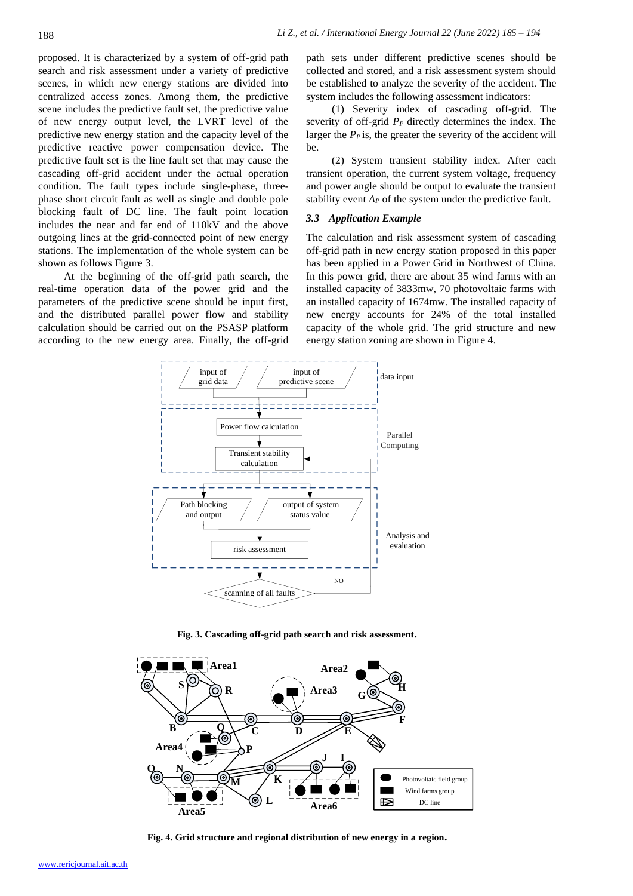proposed. It is characterized by a system of off-grid path search and risk assessment under a variety of predictive scenes, in which new energy stations are divided into centralized access zones. Among them, the predictive scene includes the predictive fault set, the predictive value of new energy output level, the LVRT level of the predictive new energy station and the capacity level of the predictive reactive power compensation device. The predictive fault set is the line fault set that may cause the cascading off-grid accident under the actual operation condition. The fault types include single-phase, threephase short circuit fault as well as single and double pole blocking fault of DC line. The fault point location includes the near and far end of 110kV and the above outgoing lines at the grid-connected point of new energy stations. The implementation of the whole system can be shown as follows Figure 3.

At the beginning of the off-grid path search, the real-time operation data of the power grid and the parameters of the predictive scene should be input first, and the distributed parallel power flow and stability calculation should be carried out on the PSASP platform according to the new energy area. Finally, the off-grid path sets under different predictive scenes should be collected and stored, and a risk assessment system should be established to analyze the severity of the accident. The system includes the following assessment indicators:

(1) Severity index of cascading off-grid. The severity of off-grid *P<sup>P</sup>* directly determines the index. The larger the  $P<sub>P</sub>$  is, the greater the severity of the accident will be.

(2) System transient stability index. After each transient operation, the current system voltage, frequency and power angle should be output to evaluate the transient stability event *A<sup>P</sup>* of the system under the predictive fault.

## *3.3 Application Example*

The calculation and risk assessment system of cascading off-grid path in new energy station proposed in this paper has been applied in a Power Grid in Northwest of China. In this power grid, there are about 35 wind farms with an installed capacity of 3833mw, 70 photovoltaic farms with an installed capacity of 1674mw. The installed capacity of new energy accounts for 24% of the total installed capacity of the whole grid. The grid structure and new energy station zoning are shown in Figure 4.



**Fig. 3. Cascading off-grid path search and risk assessment**.



**Fig. 4. Grid structure and regional distribution of new energy in a region.**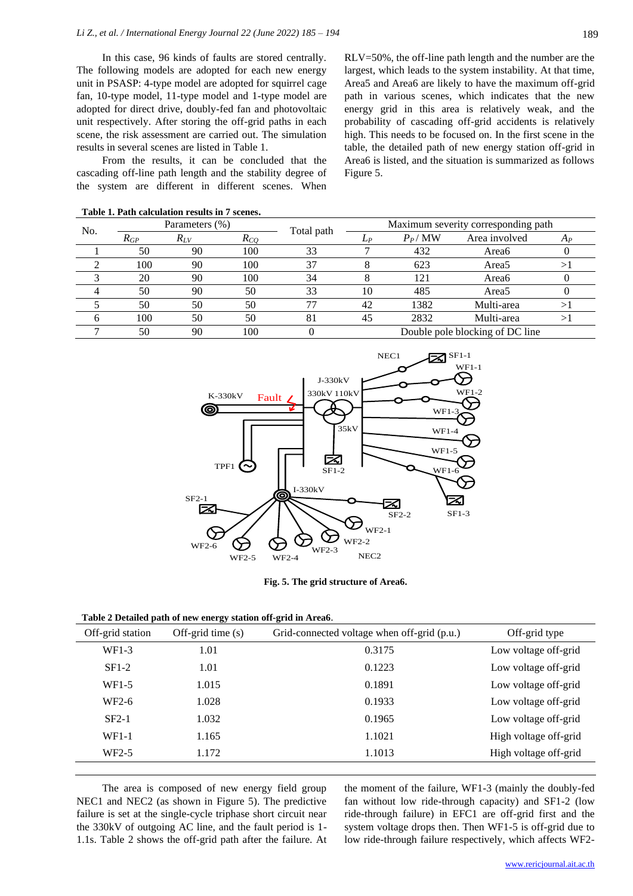In this case, 96 kinds of faults are stored centrally. The following models are adopted for each new energy unit in PSASP: 4-type model are adopted for squirrel cage fan, 10-type model, 11-type model and 1-type model are adopted for direct drive, doubly-fed fan and photovoltaic unit respectively. After storing the off-grid paths in each scene, the risk assessment are carried out. The simulation results in several scenes are listed in Table 1.

From the results, it can be concluded that the cascading off-line path length and the stability degree of the system are different in different scenes. When

RLV=50%, the off-line path length and the number are the largest, which leads to the system instability. At that time, Area5 and Area6 are likely to have the maximum off-grid path in various scenes, which indicates that the new energy grid in this area is relatively weak, and the probability of cascading off-grid accidents is relatively high. This needs to be focused on. In the first scene in the table, the detailed path of new energy station off-grid in Area6 is listed, and the situation is summarized as follows Figure 5.

| No. | Parameters (%) |          |          | Total path | Maximum severity corresponding path |          |                   |    |
|-----|----------------|----------|----------|------------|-------------------------------------|----------|-------------------|----|
|     | $R_{GP}$       | $R_{LV}$ | $R_{CO}$ |            | $L_P$                               | $P_P/MW$ | Area involved     | Ap |
|     | 50             | 90       | 100      | 33         |                                     | 432      | Area6             |    |
|     | 100            | 90       | 100      | 37         |                                     | 623      | Area5             |    |
|     | 20             | 90       | 100      | 34         |                                     | 121      | Area <sub>6</sub> |    |
|     | 50             | 90       | 50       | 33         | 10                                  | 485      | Area5             |    |
|     | 50             | 50       | 50       |            | 42                                  | 1382     | Multi-area        |    |
|     | 100            | 50       | 50       | 81         | 45                                  | 2832     | Multi-area        |    |
|     | 50             | 90       | 100      |            | Double pole blocking of DC line     |          |                   |    |

| Table 1. Path calculation results in 7 scenes. |  |
|------------------------------------------------|--|
|------------------------------------------------|--|



**Fig. 5. The grid structure of Area6.**

| Table 2 Detailed path of new energy station off-grid in Area6. |  |  |
|----------------------------------------------------------------|--|--|
|----------------------------------------------------------------|--|--|

| Off-grid station   | Off-grid time $(s)$ | Grid-connected voltage when off-grid (p.u.) | Off-grid type         |
|--------------------|---------------------|---------------------------------------------|-----------------------|
| WF1-3              | 1.01                | 0.3175                                      | Low voltage off-grid  |
| $SF1-2$            | 1.01                | 0.1223                                      | Low voltage off-grid  |
| WF <sub>1</sub> -5 | 1.015               | 0.1891                                      | Low voltage off-grid  |
| WF <sub>2</sub> -6 | 1.028               | 0.1933                                      | Low voltage off-grid  |
| $SF2-1$            | 1.032               | 0.1965                                      | Low voltage off-grid  |
| WF1-1              | 1.165               | 1.1021                                      | High voltage off-grid |
| WF <sub>2</sub> -5 | 1.172               | 1.1013                                      | High voltage off-grid |

The area is composed of new energy field group NEC1 and NEC2 (as shown in Figure 5). The predictive failure is set at the single-cycle triphase short circuit near the 330kV of outgoing AC line, and the fault period is 1- 1.1s. Table 2 shows the off-grid path after the failure. At the moment of the failure, WF1-3 (mainly the doubly-fed fan without low ride-through capacity) and SF1-2 (low ride-through failure) in EFC1 are off-grid first and the system voltage drops then. Then WF1-5 is off-grid due to low ride-through failure respectively, which affects WF2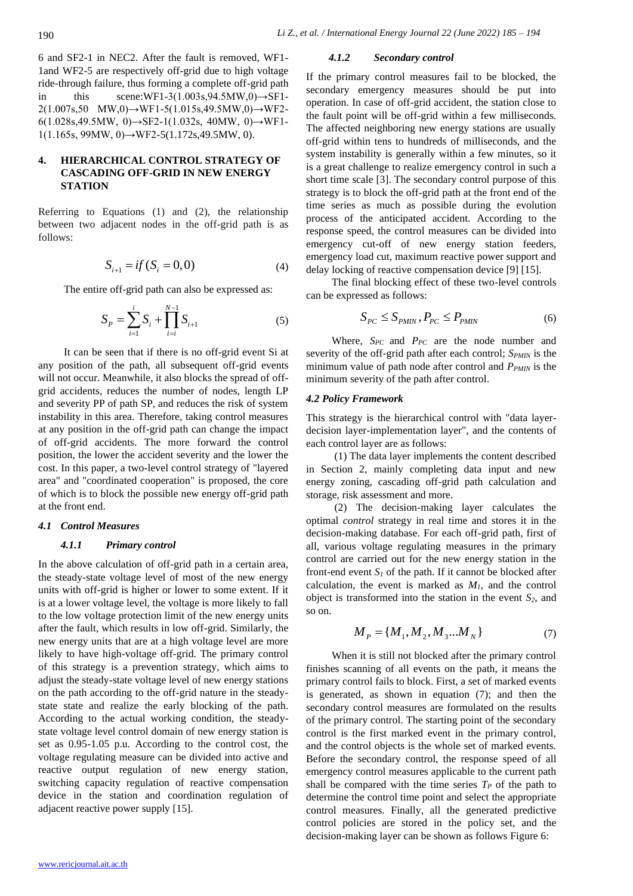6 and SF2-1 in NEC2. After the fault is removed, WF1- 1and WF2-5 are respectively off-grid due to high voltage ride-through failure, thus forming a complete off-grid path in this scene:WF1-3(1.003s,94.5MW,0) $\rightarrow$ SF1- $2(1.007s, 50 \quad MW, 0) \rightarrow WF1-5(1.015s, 49.5MW, 0) \rightarrow WF2-$ 6(1.028s,49.5MW, 0)→SF2-1(1.032s, 40MW, 0)→WF1-  $1(1.165s, 99MW, 0) \rightarrow WF2-5(1.172s, 49.5MW, 0).$ 

# **4. HIERARCHICAL CONTROL STRATEGY OF CASCADING OFF-GRID IN NEW ENERGY STATION**

Referring to Equations (1) and (2), the relationship between two adjacent nodes in the off-grid path is as follows:

$$
S_{i+1} = if (S_i = 0, 0)
$$
 (4)

The entire off-grid path can also be expressed as:

$$
S_P = \sum_{i=1}^{i} S_i + \prod_{i=i}^{N-1} S_{i+1}
$$
 (5)

It can be seen that if there is no off-grid event Si at any position of the path, all subsequent off-grid events will not occur. Meanwhile, it also blocks the spread of offgrid accidents, reduces the number of nodes, length LP and severity PP of path SP, and reduces the risk of system instability in this area. Therefore, taking control measures at any position in the off-grid path can change the impact of off-grid accidents. The more forward the control position, the lower the accident severity and the lower the cost. In this paper, a two-level control strategy of "layered area" and "coordinated cooperation" is proposed, the core of which is to block the possible new energy off-grid path at the front end.

#### *4.1 Control Measures*

# *4.1.1 Primary control*

In the above calculation of off-grid path in a certain area, the steady-state voltage level of most of the new energy units with off-grid is higher or lower to some extent. If it is at a lower voltage level, the voltage is more likely to fall to the low voltage protection limit of the new energy units after the fault, which results in low off-grid. Similarly, the new energy units that are at a high voltage level are more likely to have high-voltage off-grid. The primary control of this strategy is a prevention strategy, which aims to adjust the steady-state voltage level of new energy stations on the path according to the off-grid nature in the steadystate state and realize the early blocking of the path. According to the actual working condition, the steadystate voltage level control domain of new energy station is set as 0.95-1.05 p.u. According to the control cost, the voltage regulating measure can be divided into active and reactive output regulation of new energy station, switching capacity regulation of reactive compensation device in the station and coordination regulation of adjacent reactive power supply [15].

### *4.1.2 Secondary control*

If the primary control measures fail to be blocked, the secondary emergency measures should be put into operation. In case of off-grid accident, the station close to the fault point will be off-grid within a few milliseconds. The affected neighboring new energy stations are usually off-grid within tens to hundreds of milliseconds, and the system instability is generally within a few minutes, so it is a great challenge to realize emergency control in such a short time scale [3]. The secondary control purpose of this strategy is to block the off-grid path at the front end of the time series as much as possible during the evolution process of the anticipated accident. According to the response speed, the control measures can be divided into emergency cut-off of new energy station feeders, emergency load cut, maximum reactive power support and delay locking of reactive compensation device [9] [15].

The final blocking effect of these two-level controls can be expressed as follows:

$$
S_{PC} \le S_{PMIN}, P_{PC} \le P_{PMIN} \tag{6}
$$

Where, *SPC* and *PPC* are the node number and severity of the off-grid path after each control; *SPMIN* is the minimum value of path node after control and *PPMIN* is the minimum severity of the path after control.

#### *4.2 Policy Framework*

This strategy is the hierarchical control with "data layerdecision layer-implementation layer", and the contents of each control layer are as follows:

(1) The data layer implements the content described in Section 2, mainly completing data input and new energy zoning, cascading off-grid path calculation and storage, risk assessment and more.

(2) The decision-making layer calculates the optimal *control* strategy in real time and stores it in the decision-making database. For each off-grid path, first of all, various voltage regulating measures in the primary control are carried out for the new energy station in the front-end event  $S_I$  of the path. If it cannot be blocked after calculation, the event is marked as  $M<sub>1</sub>$ , and the control object is transformed into the station in the event *S2*, and so on.

$$
M_{P} = \{M_{1}, M_{2}, M_{3}...M_{N}\}
$$
 (7)

When it is still not blocked after the primary control finishes scanning of all events on the path, it means the primary control fails to block. First, a set of marked events is generated, as shown in equation (7); and then the secondary control measures are formulated on the results of the primary control. The starting point of the secondary control is the first marked event in the primary control, and the control objects is the whole set of marked events. Before the secondary control, the response speed of all emergency control measures applicable to the current path shall be compared with the time series  $T<sub>P</sub>$  of the path to determine the control time point and select the appropriate control measures. Finally, all the generated predictive control policies are stored in the policy set, and the decision-making layer can be shown as follows Figure 6: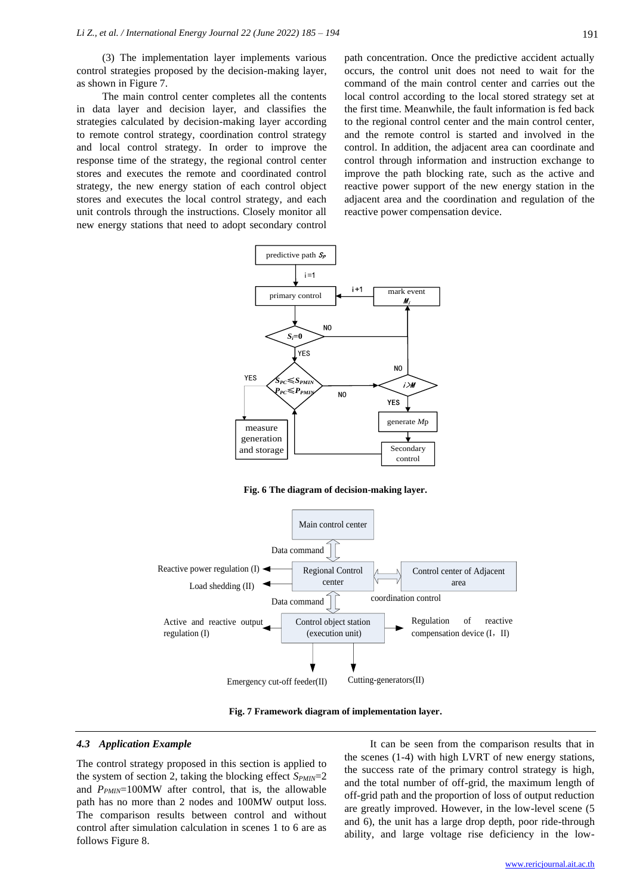(3) The implementation layer implements various control strategies proposed by the decision-making layer, as shown in Figure 7.

The main control center completes all the contents in data layer and decision layer, and classifies the strategies calculated by decision-making layer according to remote control strategy, coordination control strategy and local control strategy. In order to improve the response time of the strategy, the regional control center stores and executes the remote and coordinated control strategy, the new energy station of each control object stores and executes the local control strategy, and each unit controls through the instructions. Closely monitor all new energy stations that need to adopt secondary control path concentration. Once the predictive accident actually occurs, the control unit does not need to wait for the command of the main control center and carries out the local control according to the local stored strategy set at the first time. Meanwhile, the fault information is fed back to the regional control center and the main control center, and the remote control is started and involved in the control. In addition, the adjacent area can coordinate and control through information and instruction exchange to improve the path blocking rate, such as the active and reactive power support of the new energy station in the adjacent area and the coordination and regulation of the reactive power compensation device.



**Fig. 6 The diagram of decision-making layer.**





#### *4.3 Application Example*

The control strategy proposed in this section is applied to the system of section 2, taking the blocking effect  $S_{PMIN}=2$ and *P<sub>PMIN</sub>*=100MW after control, that is, the allowable path has no more than 2 nodes and 100MW output loss. The comparison results between control and without control after simulation calculation in scenes 1 to 6 are as follows Figure 8.

It can be seen from the comparison results that in the scenes (1-4) with high LVRT of new energy stations, the success rate of the primary control strategy is high, and the total number of off-grid, the maximum length of off-grid path and the proportion of loss of output reduction are greatly improved. However, in the low-level scene (5 and 6), the unit has a large drop depth, poor ride-through ability, and large voltage rise deficiency in the low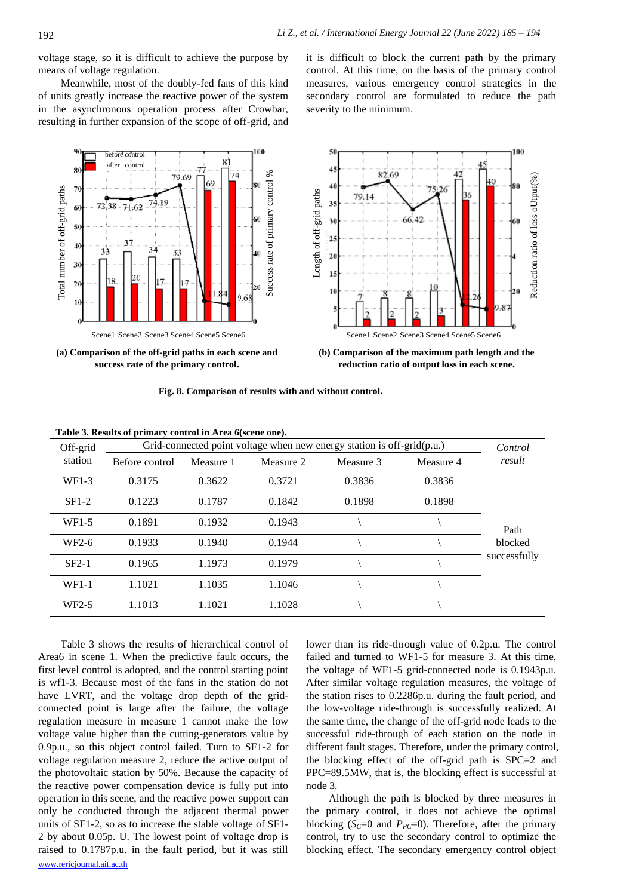voltage stage, so it is difficult to achieve the purpose by means of voltage regulation.

Meanwhile, most of the doubly-fed fans of this kind of units greatly increase the reactive power of the system in the asynchronous operation process after Crowbar, resulting in further expansion of the scope of off-grid, and it is difficult to block the current path by the primary control. At this time, on the basis of the primary control measures, various emergency control strategies in the secondary control are formulated to reduce the path severity to the minimum.



**(a) Comparison of the off-grid paths in each scene and success rate of the primary control.**



**(b) Comparison of the maximum path length and the reduction ratio of output loss in each scene.**

**Fig. 8. Comparison of results with and without control.**

| Table 3. Results of primary control in Area 6(scene one). |  |  |
|-----------------------------------------------------------|--|--|
|-----------------------------------------------------------|--|--|

| Off-grid<br>station | Grid-connected point voltage when new energy station is off-grid(p.u.) |           |           |           |           |              |
|---------------------|------------------------------------------------------------------------|-----------|-----------|-----------|-----------|--------------|
|                     | Before control                                                         | Measure 1 | Measure 2 | Measure 3 | Measure 4 | result       |
| $WF1-3$             | 0.3175                                                                 | 0.3622    | 0.3721    | 0.3836    | 0.3836    |              |
| $SF1-2$             | 0.1223                                                                 | 0.1787    | 0.1842    | 0.1898    | 0.1898    |              |
| WF1-5               | 0.1891                                                                 | 0.1932    | 0.1943    |           |           | Path         |
| WF <sub>2</sub> -6  | 0.1933                                                                 | 0.1940    | 0.1944    |           |           | blocked      |
| $SF2-1$             | 0.1965                                                                 | 1.1973    | 0.1979    |           |           | successfully |
| $WF1-1$             | 1.1021                                                                 | 1.1035    | 1.1046    |           |           |              |
| WF <sub>2</sub> -5  | 1.1013                                                                 | 1.1021    | 1.1028    |           |           |              |
|                     |                                                                        |           |           |           |           |              |

[www.rericjournal.ait.ac.th](http://www.rericjournal.ait.ac.th/) Table 3 shows the results of hierarchical control of Area6 in scene 1. When the predictive fault occurs, the first level control is adopted, and the control starting point is wf1-3. Because most of the fans in the station do not have LVRT, and the voltage drop depth of the gridconnected point is large after the failure, the voltage regulation measure in measure 1 cannot make the low voltage value higher than the cutting-generators value by 0.9p.u., so this object control failed. Turn to SF1-2 for voltage regulation measure 2, reduce the active output of the photovoltaic station by 50%. Because the capacity of the reactive power compensation device is fully put into operation in this scene, and the reactive power support can only be conducted through the adjacent thermal power units of SF1-2, so as to increase the stable voltage of SF1- 2 by about 0.05p. U. The lowest point of voltage drop is raised to 0.1787p.u. in the fault period, but it was still

lower than its ride-through value of 0.2p.u. The control failed and turned to WF1-5 for measure 3. At this time, the voltage of WF1-5 grid-connected node is 0.1943p.u. After similar voltage regulation measures, the voltage of the station rises to 0.2286p.u. during the fault period, and the low-voltage ride-through is successfully realized. At the same time, the change of the off-grid node leads to the successful ride-through of each station on the node in different fault stages. Therefore, under the primary control, the blocking effect of the off-grid path is SPC=2 and PPC=89.5MW, that is, the blocking effect is successful at node 3.

Although the path is blocked by three measures in the primary control, it does not achieve the optimal blocking ( $S<sub>C</sub>=0$  and  $P<sub>PC</sub>=0$ ). Therefore, after the primary control, try to use the secondary control to optimize the blocking effect. The secondary emergency control object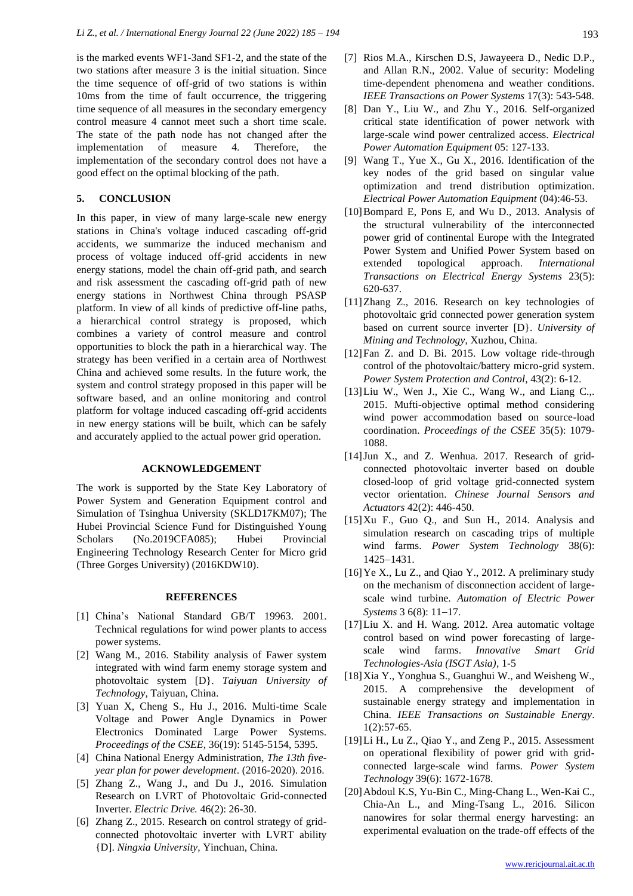is the marked events WF1-3and SF1-2, and the state of the two stations after measure 3 is the initial situation. Since the time sequence of off-grid of two stations is within 10ms from the time of fault occurrence, the triggering time sequence of all measures in the secondary emergency control measure 4 cannot meet such a short time scale. The state of the path node has not changed after the implementation of measure 4. Therefore, the implementation of the secondary control does not have a good effect on the optimal blocking of the path.

### **5. CONCLUSION**

In this paper, in view of many large-scale new energy stations in China's voltage induced cascading off-grid accidents, we summarize the induced mechanism and process of voltage induced off-grid accidents in new energy stations, model the chain off-grid path, and search and risk assessment the cascading off-grid path of new energy stations in Northwest China through PSASP platform. In view of all kinds of predictive off-line paths, a hierarchical control strategy is proposed, which combines a variety of control measure and control opportunities to block the path in a hierarchical way. The strategy has been verified in a certain area of Northwest China and achieved some results. In the future work, the system and control strategy proposed in this paper will be software based, and an online monitoring and control platform for voltage induced cascading off-grid accidents in new energy stations will be built, which can be safely and accurately applied to the actual power grid operation.

#### **ACKNOWLEDGEMENT**

The work is supported by the State Key Laboratory of Power System and Generation Equipment control and Simulation of Tsinghua University (SKLD17KM07); The Hubei Provincial Science Fund for Distinguished Young Scholars (No.2019CFA085); Hubei Provincial Engineering Technology Research Center for Micro grid (Three Gorges University) (2016KDW10).

#### **REFERENCES**

- [1] China's National Standard GB/T 19963. 2001. Technical regulations for wind power plants to access power systems.
- [2] Wang M., 2016. Stability analysis of Fawer system integrated with wind farm enemy storage system and photovoltaic system [D}. *Taiyuan University of Technology*, Taiyuan, China.
- [3] Yuan X, Cheng S., Hu J., 2016. Multi-time Scale Voltage and Power Angle Dynamics in Power Electronics Dominated Large Power Systems. *Proceedings of the CSEE,* 36(19): 5145-5154, 5395.
- [4] China National Energy Administration, *The 13th fiveyear plan for power development*. (2016-2020). 2016.
- [5] Zhang Z., Wang J., and Du J., 2016. Simulation Research on LVRT of Photovoltaic Grid-connected Inverter. *Electric Drive.* 46(2): 26-30.
- [6] Zhang Z., 2015. Research on control strategy of gridconnected photovoltaic inverter with LVRT ability {D]. *Ningxia University,* Yinchuan, China.
- [7] Rios M.A., Kirschen D.S, Jawayeera D., Nedic D.P., and Allan R.N., 2002. Value of security: Modeling time-dependent phenomena and weather conditions. *IEEE Transactions on Power Systems* 17(3): 543-548.
- [8] Dan Y., Liu W., and Zhu Y., 2016. Self-organized critical state identification of power network with large-scale wind power centralized access. *Electrical Power Automation Equipment* 05: 127-133.
- [9] Wang T., Yue X., Gu X., 2016. Identification of the key nodes of the grid based on singular value optimization and trend distribution optimization. *Electrical Power Automation Equipment* (04):46-53.
- [10]Bompard E, Pons E, and Wu D., 2013. Analysis of the structural vulnerability of the interconnected power grid of continental Europe with the Integrated Power System and Unified Power System based on extended topological approach. *International Transactions on Electrical Energy Systems* 23(5): 620-637.
- [11]Zhang Z., 2016. Research on key technologies of photovoltaic grid connected power generation system based on current source inverter [D}. *University of Mining and Technology*, Xuzhou, China.
- [12]Fan Z. and D. Bi. 2015. Low voltage ride-through control of the photovoltaic/battery micro-grid system. *Power System Protection and Control*, 43(2): 6-12.
- [13]Liu W., Wen J., Xie C., Wang W., and Liang C.,. 2015. Mufti-objective optimal method considering wind power accommodation based on source-load coordination. *Proceedings of the CSEE* 35(5): 1079- 1088.
- [14]Jun X., and Z. Wenhua. 2017. Research of gridconnected photovoltaic inverter based on double closed-loop of grid voltage grid-connected system vector orientation. *Chinese Journal Sensors and Actuators* 42(2): 446-450.
- [15]Xu F., Guo Q., and Sun H., 2014. Analysis and simulation research on cascading trips of multiple wind farms. *Power System Technology* 38(6): 1425−1431.
- [16] Ye X., Lu Z., and Qiao Y., 2012. A preliminary study on the mechanism of disconnection accident of largescale wind turbine. *Automation of Electric Power Systems* 3 6(8): 11−17.
- [17]Liu X. and H. Wang. 2012. Area automatic voltage control based on wind power forecasting of largescale wind farms. *Innovative Smart Grid Technologies-Asia (ISGT Asia)*, 1-5
- [18]Xia Y., Yonghua S., Guanghui W., and Weisheng W., 2015. A comprehensive the development of sustainable energy strategy and implementation in China. *IEEE Transactions on Sustainable Energy*. 1(2):57-65.
- [19]Li H., Lu Z., Qiao Y., and Zeng P., 2015. Assessment on operational flexibility of power grid with gridconnected large-scale wind farms. *Power System Technology* 39(6): 1672-1678.
- [20]Abdoul K.S, Yu-Bin C., Ming-Chang L., Wen-Kai C., Chia-An L., and Ming-Tsang L., 2016. Silicon nanowires for solar thermal energy harvesting: an experimental evaluation on the trade-off effects of the